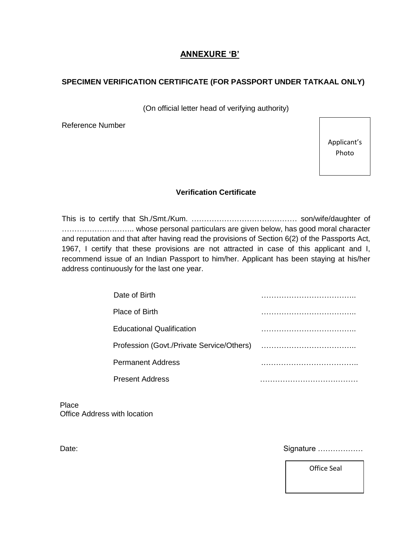# **ANNEXURE 'B'**

## **SPECIMEN VERIFICATION CERTIFICATE (FOR PASSPORT UNDER TATKAAL ONLY)**

(On official letter head of verifying authority)

Reference Number

Applicant's Photo

### **Verification Certificate**

This is to certify that Sh./Smt./Kum. …………………………………… son/wife/daughter of ……………………….. whose personal particulars are given below, has good moral character and reputation and that after having read the provisions of Section 6(2) of the Passports Act, 1967, I certify that these provisions are not attracted in case of this applicant and I, recommend issue of an Indian Passport to him/her. Applicant has been staying at his/her address continuously for the last one year.

| Date of Birth                             |  |
|-------------------------------------------|--|
| <b>Place of Birth</b>                     |  |
| <b>Educational Qualification</b>          |  |
| Profession (Govt./Private Service/Others) |  |
| <b>Permanent Address</b>                  |  |
| <b>Present Address</b>                    |  |

**Place** Office Address with location

Date: Signature ………………

Office Seal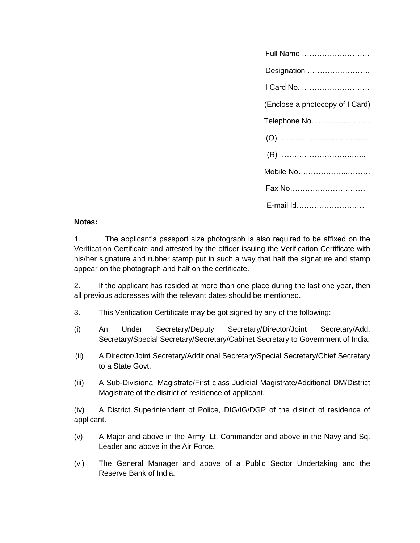| Full Name                       |
|---------------------------------|
| Designation                     |
| I Card No.                      |
| (Enclose a photocopy of I Card) |
| Telephone No.                   |
|                                 |
|                                 |
| Mobile No                       |
| Fax No                          |
| E-mail Id                       |

## **Notes:**

1. The applicant's passport size photograph is also required to be affixed on the Verification Certificate and attested by the officer issuing the Verification Certificate with his/her signature and rubber stamp put in such a way that half the signature and stamp appear on the photograph and half on the certificate.

2. If the applicant has resided at more than one place during the last one year, then all previous addresses with the relevant dates should be mentioned.

- 3. This Verification Certificate may be got signed by any of the following:
- (i) An Under Secretary/Deputy Secretary/Director/Joint Secretary/Add. Secretary/Special Secretary/Secretary/Cabinet Secretary to Government of India.
- (ii) A Director/Joint Secretary/Additional Secretary/Special Secretary/Chief Secretary to a State Govt.
- (iii) A Sub-Divisional Magistrate/First class Judicial Magistrate/Additional DM/District Magistrate of the district of residence of applicant.

(iv) A District Superintendent of Police, DIG/IG/DGP of the district of residence of applicant.

- (v) A Major and above in the Army, Lt. Commander and above in the Navy and Sq. Leader and above in the Air Force.
- (vi) The General Manager and above of a Public Sector Undertaking and the Reserve Bank of India.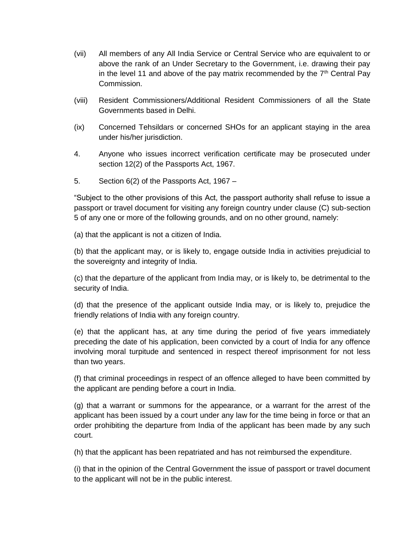- (vii) All members of any All India Service or Central Service who are equivalent to or above the rank of an Under Secretary to the Government, i.e. drawing their pay in the level 11 and above of the pay matrix recommended by the  $7<sup>th</sup>$  Central Pay Commission.
- (viii) Resident Commissioners/Additional Resident Commissioners of all the State Governments based in Delhi.
- (ix) Concerned Tehsildars or concerned SHOs for an applicant staying in the area under his/her jurisdiction.
- 4. Anyone who issues incorrect verification certificate may be prosecuted under section 12(2) of the Passports Act, 1967.
- 5. Section 6(2) of the Passports Act, 1967 –

"Subject to the other provisions of this Act, the passport authority shall refuse to issue a passport or travel document for visiting any foreign country under clause (C) sub-section 5 of any one or more of the following grounds, and on no other ground, namely:

(a) that the applicant is not a citizen of India.

(b) that the applicant may, or is likely to, engage outside India in activities prejudicial to the sovereignty and integrity of India.

(c) that the departure of the applicant from India may, or is likely to, be detrimental to the security of India.

(d) that the presence of the applicant outside India may, or is likely to, prejudice the friendly relations of India with any foreign country.

(e) that the applicant has, at any time during the period of five years immediately preceding the date of his application, been convicted by a court of India for any offence involving moral turpitude and sentenced in respect thereof imprisonment for not less than two years.

(f) that criminal proceedings in respect of an offence alleged to have been committed by the applicant are pending before a court in India.

(g) that a warrant or summons for the appearance, or a warrant for the arrest of the applicant has been issued by a court under any law for the time being in force or that an order prohibiting the departure from India of the applicant has been made by any such court.

(h) that the applicant has been repatriated and has not reimbursed the expenditure.

(i) that in the opinion of the Central Government the issue of passport or travel document to the applicant will not be in the public interest.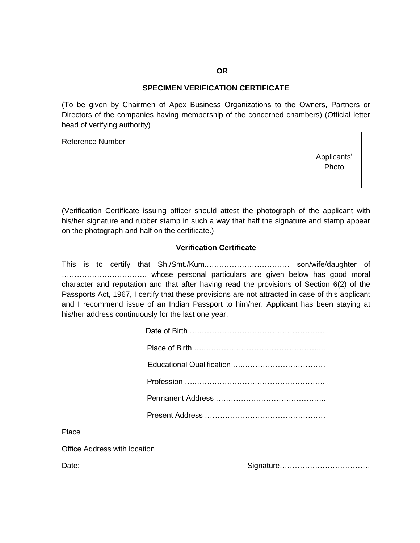#### **OR**

### **SPECIMEN VERIFICATION CERTIFICATE**

(To be given by Chairmen of Apex Business Organizations to the Owners, Partners or Directors of the companies having membership of the concerned chambers) (Official letter head of verifying authority)

Reference Number

Applicants' Photo

(Verification Certificate issuing officer should attest the photograph of the applicant with his/her signature and rubber stamp in such a way that half the signature and stamp appear on the photograph and half on the certificate.)

### **Verification Certificate**

This is to certify that Sh./Smt./Kum.…………………………… son/wife/daughter of ……………………………. whose personal particulars are given below has good moral character and reputation and that after having read the provisions of Section 6(2) of the Passports Act, 1967, I certify that these provisions are not attracted in case of this applicant and I recommend issue of an Indian Passport to him/her. Applicant has been staying at his/her address continuously for the last one year.

Place

Office Address with location

Date: example and the state of the state of the Signature……………………………………………………………